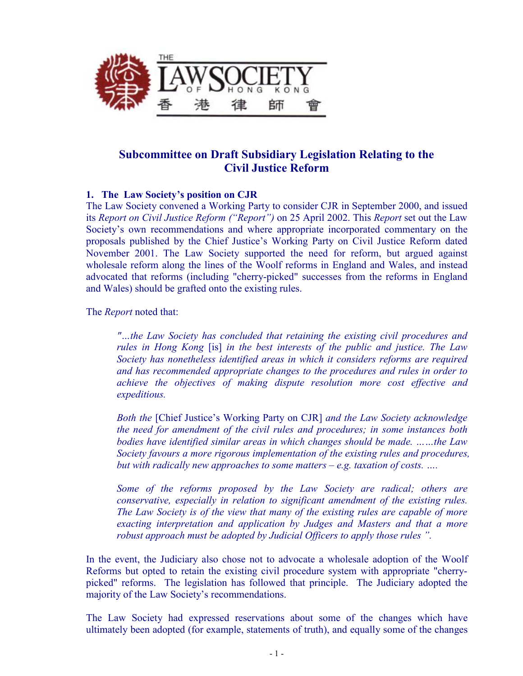

## **Subcommittee on Draft Subsidiary Legislation Relating to the Civil Justice Reform**

## **1. The Law Society's position on CJR**

The Law Society convened a Working Party to consider CJR in September 2000, and issued its *Report on Civil Justice Reform ("Report")* on 25 April 2002. This *Report* set out the Law Society's own recommendations and where appropriate incorporated commentary on the proposals published by the Chief Justice's Working Party on Civil Justice Reform dated November 2001. The Law Society supported the need for reform, but argued against wholesale reform along the lines of the Woolf reforms in England and Wales, and instead advocated that reforms (including "cherry-picked" successes from the reforms in England and Wales) should be grafted onto the existing rules.

The *Report* noted that:

*"…the Law Society has concluded that retaining the existing civil procedures and rules in Hong Kong* [is] *in the best interests of the public and justice. The Law Society has nonetheless identified areas in which it considers reforms are required and has recommended appropriate changes to the procedures and rules in order to achieve the objectives of making dispute resolution more cost effective and expeditious.* 

*Both the* [Chief Justice's Working Party on CJR] *and the Law Society acknowledge the need for amendment of the civil rules and procedures; in some instances both bodies have identified similar areas in which changes should be made. ……the Law Society favours a more rigorous implementation of the existing rules and procedures, but with radically new approaches to some matters – e.g. taxation of costs. ….* 

*Some of the reforms proposed by the Law Society are radical; others are conservative, especially in relation to significant amendment of the existing rules. The Law Society is of the view that many of the existing rules are capable of more exacting interpretation and application by Judges and Masters and that a more robust approach must be adopted by Judicial Officers to apply those rules ".* 

In the event, the Judiciary also chose not to advocate a wholesale adoption of the Woolf Reforms but opted to retain the existing civil procedure system with appropriate "cherrypicked" reforms. The legislation has followed that principle. The Judiciary adopted the majority of the Law Society's recommendations.

The Law Society had expressed reservations about some of the changes which have ultimately been adopted (for example, statements of truth), and equally some of the changes